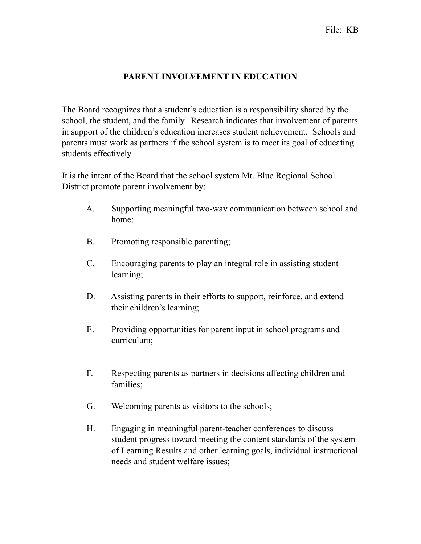## **PARENT INVOLVEMENT IN EDUCATION**

The Board recognizes that a student's education is a responsibility shared by the school, the student, and the family. Research indicates that involvement of parents in support of the children's education increases student achievement. Schools and parents must work as partners if the school system is to meet its goal of educating students effectively.

It is the intent of the Board that the school system Mt. Blue Regional School District promote parent involvement by:

- A. Supporting meaningful two-way communication between school and home;
- B. Promoting responsible parenting;
- C. Encouraging parents to play an integral role in assisting student learning;
- D. Assisting parents in their efforts to support, reinforce, and extend their children's learning;
- E. Providing opportunities for parent input in school programs and curriculum;
- F. Respecting parents as partners in decisions affecting children and families;
- G. Welcoming parents as visitors to the schools;
- H. Engaging in meaningful parent-teacher conferences to discuss student progress toward meeting the content standards of the system of Learning Results and other learning goals, individual instructional needs and student welfare issues;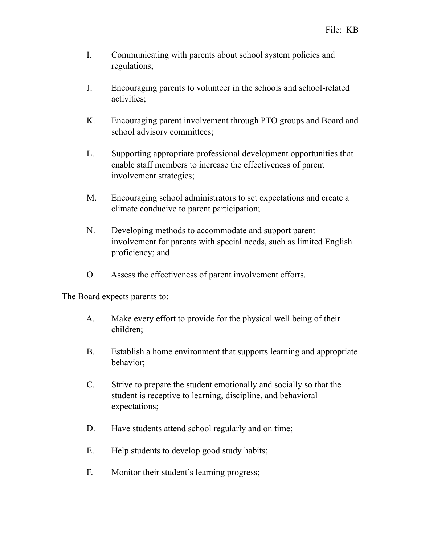- I. Communicating with parents about school system policies and regulations;
- J. Encouraging parents to volunteer in the schools and school-related activities;
- K. Encouraging parent involvement through PTO groups and Board and school advisory committees;
- L. Supporting appropriate professional development opportunities that enable staff members to increase the effectiveness of parent involvement strategies;
- M. Encouraging school administrators to set expectations and create a climate conducive to parent participation;
- N. Developing methods to accommodate and support parent involvement for parents with special needs, such as limited English proficiency; and
- O. Assess the effectiveness of parent involvement efforts.

The Board expects parents to:

- A. Make every effort to provide for the physical well being of their children;
- B. Establish a home environment that supports learning and appropriate behavior;
- C. Strive to prepare the student emotionally and socially so that the student is receptive to learning, discipline, and behavioral expectations;
- D. Have students attend school regularly and on time;
- E. Help students to develop good study habits;
- F. Monitor their student's learning progress;